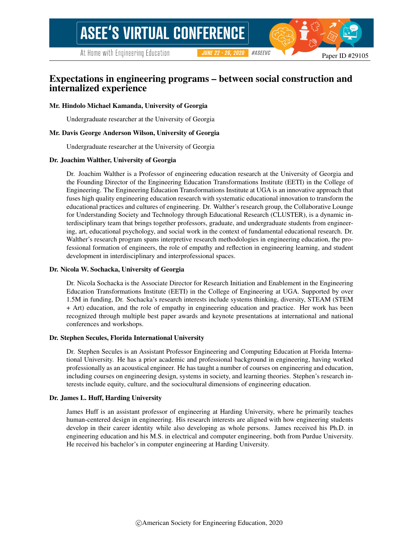At Home with Engineering Education

**JUNE 22 - 26, 2020** #ASEEVC

Paper ID #29105

# Expectations in engineering programs – between social construction and internalized experience

#### Mr. Hindolo Michael Kamanda, University of Georgia

Undergraduate researcher at the University of Georgia

#### Mr. Davis George Anderson Wilson, University of Georgia

Undergraduate researcher at the University of Georgia

#### Dr. Joachim Walther, University of Georgia

Dr. Joachim Walther is a Professor of engineering education research at the University of Georgia and the Founding Director of the Engineering Education Transformations Institute (EETI) in the College of Engineering. The Engineering Education Transformations Institute at UGA is an innovative approach that fuses high quality engineering education research with systematic educational innovation to transform the educational practices and cultures of engineering. Dr. Walther's research group, the Collaborative Lounge for Understanding Society and Technology through Educational Research (CLUSTER), is a dynamic interdisciplinary team that brings together professors, graduate, and undergraduate students from engineering, art, educational psychology, and social work in the context of fundamental educational research. Dr. Walther's research program spans interpretive research methodologies in engineering education, the professional formation of engineers, the role of empathy and reflection in engineering learning, and student development in interdisciplinary and interprofessional spaces.

#### Dr. Nicola W. Sochacka, University of Georgia

Dr. Nicola Sochacka is the Associate Director for Research Initiation and Enablement in the Engineering Education Transformations Institute (EETI) in the College of Engineering at UGA. Supported by over 1.5M in funding, Dr. Sochacka's research interests include systems thinking, diversity, STEAM (STEM + Art) education, and the role of empathy in engineering education and practice. Her work has been recognized through multiple best paper awards and keynote presentations at international and national conferences and workshops.

#### Dr. Stephen Secules, Florida International University

Dr. Stephen Secules is an Assistant Professor Engineering and Computing Education at Florida International University. He has a prior academic and professional background in engineering, having worked professionally as an acoustical engineer. He has taught a number of courses on engineering and education, including courses on engineering design, systems in society, and learning theories. Stephen's research interests include equity, culture, and the sociocultural dimensions of engineering education.

#### Dr. James L. Huff, Harding University

James Huff is an assistant professor of engineering at Harding University, where he primarily teaches human-centered design in engineering. His research interests are aligned with how engineering students develop in their career identity while also developing as whole persons. James received his Ph.D. in engineering education and his M.S. in electrical and computer engineering, both from Purdue University. He received his bachelor's in computer engineering at Harding University.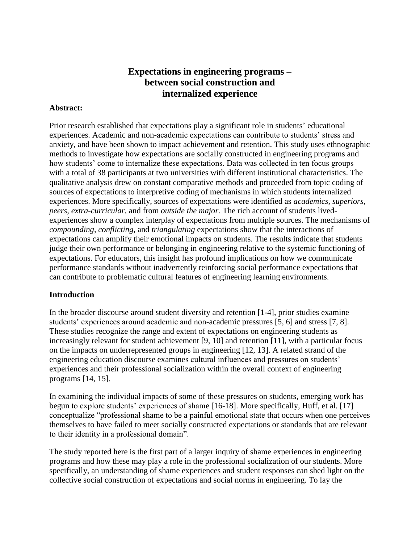# **Expectations in engineering programs – between social construction and internalized experience**

# **Abstract:**

Prior research established that expectations play a significant role in students' educational experiences. Academic and non-academic expectations can contribute to students' stress and anxiety, and have been shown to impact achievement and retention. This study uses ethnographic methods to investigate how expectations are socially constructed in engineering programs and how students' come to internalize these expectations. Data was collected in ten focus groups with a total of 38 participants at two universities with different institutional characteristics. The qualitative analysis drew on constant comparative methods and proceeded from topic coding of sources of expectations to interpretive coding of mechanisms in which students internalized experiences. More specifically, sources of expectations were identified as *academics, superiors, peers, extra-curricular,* and from *outside the major.* The rich account of students livedexperiences show a complex interplay of expectations from multiple sources. The mechanisms of *compounding, conflicting,* and *triangulating* expectations show that the interactions of expectations can amplify their emotional impacts on students. The results indicate that students judge their own performance or belonging in engineering relative to the systemic functioning of expectations. For educators, this insight has profound implications on how we communicate performance standards without inadvertently reinforcing social performance expectations that can contribute to problematic cultural features of engineering learning environments.

# **Introduction**

In the broader discourse around student diversity and retention [1-4], prior studies examine students' experiences around academic and non-academic pressures [5, 6] and stress [7, 8]. These studies recognize the range and extent of expectations on engineering students as increasingly relevant for student achievement [9, 10] and retention [11], with a particular focus on the impacts on underrepresented groups in engineering [12, 13]. A related strand of the engineering education discourse examines cultural influences and pressures on students' experiences and their professional socialization within the overall context of engineering programs [14, 15].

In examining the individual impacts of some of these pressures on students, emerging work has begun to explore students' experiences of shame [16-18]. More specifically, Huff, et al. [17] conceptualize "professional shame to be a painful emotional state that occurs when one perceives themselves to have failed to meet socially constructed expectations or standards that are relevant to their identity in a professional domain".

The study reported here is the first part of a larger inquiry of shame experiences in engineering programs and how these may play a role in the professional socialization of our students. More specifically, an understanding of shame experiences and student responses can shed light on the collective social construction of expectations and social norms in engineering. To lay the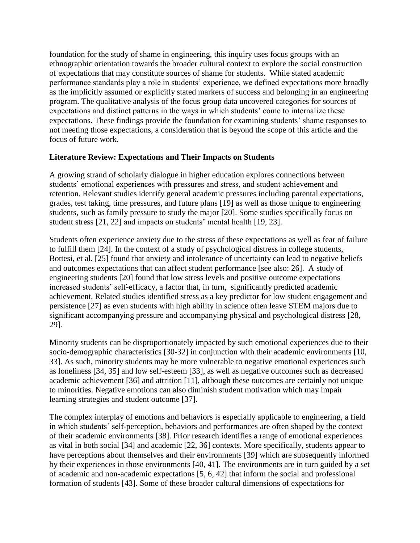foundation for the study of shame in engineering, this inquiry uses focus groups with an ethnographic orientation towards the broader cultural context to explore the social construction of expectations that may constitute sources of shame for students. While stated academic performance standards play a role in students' experience, we defined expectations more broadly as the implicitly assumed or explicitly stated markers of success and belonging in an engineering program. The qualitative analysis of the focus group data uncovered categories for sources of expectations and distinct patterns in the ways in which students' come to internalize these expectations. These findings provide the foundation for examining students' shame responses to not meeting those expectations, a consideration that is beyond the scope of this article and the focus of future work.

# **Literature Review: Expectations and Their Impacts on Students**

A growing strand of scholarly dialogue in higher education explores connections between students' emotional experiences with pressures and stress, and student achievement and retention. Relevant studies identify general academic pressures including parental expectations, grades, test taking, time pressures, and future plans [19] as well as those unique to engineering students, such as family pressure to study the major [20]. Some studies specifically focus on student stress [21, 22] and impacts on students' mental health [19, 23].

Students often experience anxiety due to the stress of these expectations as well as fear of failure to fulfill them [24]. In the context of a study of psychological distress in college students, Bottesi, et al. [25] found that anxiety and intolerance of uncertainty can lead to negative beliefs and outcomes expectations that can affect student performance [see also: 26]. A study of engineering students [20] found that low stress levels and positive outcome expectations increased students' self-efficacy, a factor that, in turn, significantly predicted academic achievement. Related studies identified stress as a key predictor for low student engagement and persistence [27] as even students with high ability in science often leave STEM majors due to significant accompanying pressure and accompanying physical and psychological distress [28, 29].

Minority students can be disproportionately impacted by such emotional experiences due to their socio-demographic characteristics [30-32] in conjunction with their academic environments [10, 33]. As such, minority students may be more vulnerable to negative emotional experiences such as loneliness [34, 35] and low self-esteem [33], as well as negative outcomes such as decreased academic achievement [36] and attrition [11], although these outcomes are certainly not unique to minorities. Negative emotions can also diminish student motivation which may impair learning strategies and student outcome [37].

The complex interplay of emotions and behaviors is especially applicable to engineering, a field in which students' self-perception, behaviors and performances are often shaped by the context of their academic environments [38]. Prior research identifies a range of emotional experiences as vital in both social [34] and academic [22, 36] contexts. More specifically, students appear to have perceptions about themselves and their environments [39] which are subsequently informed by their experiences in those environments [40, 41]. The environments are in turn guided by a set of academic and non-academic expectations [5, 6, 42] that inform the social and professional formation of students [43]. Some of these broader cultural dimensions of expectations for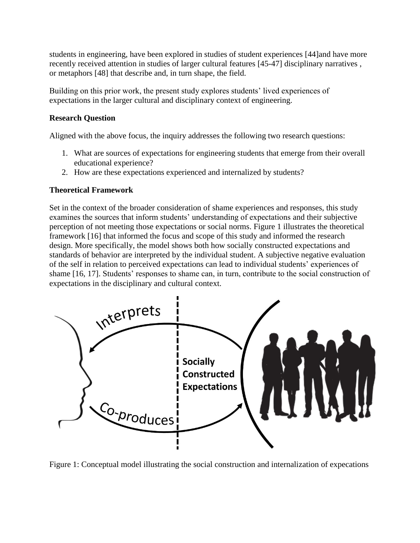students in engineering, have been explored in studies of student experiences [44] and have more recently received attention in studies of larger cultural features [45-47] disciplinary narratives , or metaphors [48] that describe and, in turn shape, the field.

Building on this prior work, the present study explores students' lived experiences of expectations in the larger cultural and disciplinary context of engineering.

# **Research Question**

Aligned with the above focus, the inquiry addresses the following two research questions:

- 1. What are sources of expectations for engineering students that emerge from their overall educational experience?
- 2. How are these expectations experienced and internalized by students?

# **Theoretical Framework**

Set in the context of the broader consideration of shame experiences and responses, this study examines the sources that inform students' understanding of expectations and their subjective perception of not meeting those expectations or social norms. Figure 1 illustrates the theoretical framework [16] that informed the focus and scope of this study and informed the research design. More specifically, the model shows both how socially constructed expectations and standards of behavior are interpreted by the individual student. A subjective negative evaluation of the self in relation to perceived expectations can lead to individual students' experiences of shame [16, 17]. Students' responses to shame can, in turn, contribute to the social construction of expectations in the disciplinary and cultural context.



Figure 1: Conceptual model illustrating the social construction and internalization of expecations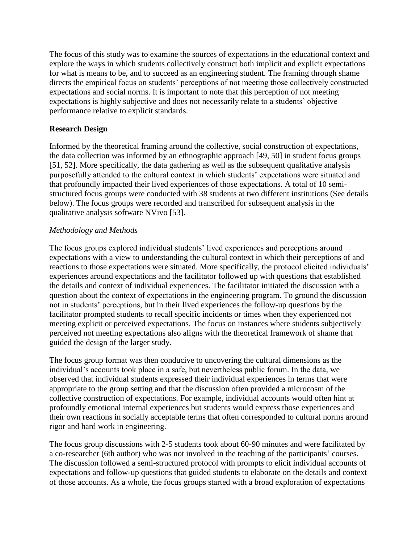The focus of this study was to examine the sources of expectations in the educational context and explore the ways in which students collectively construct both implicit and explicit expectations for what is means to be, and to succeed as an engineering student. The framing through shame directs the empirical focus on students' perceptions of not meeting those collectively constructed expectations and social norms. It is important to note that this perception of not meeting expectations is highly subjective and does not necessarily relate to a students' objective performance relative to explicit standards.

# **Research Design**

Informed by the theoretical framing around the collective, social construction of expectations, the data collection was informed by an ethnographic approach [49, 50] in student focus groups [51, 52]. More specifically, the data gathering as well as the subsequent qualitative analysis purposefully attended to the cultural context in which students' expectations were situated and that profoundly impacted their lived experiences of those expectations. A total of 10 semistructured focus groups were conducted with 38 students at two different institutions (See details below). The focus groups were recorded and transcribed for subsequent analysis in the qualitative analysis software NVivo [53].

# *Methodology and Methods*

The focus groups explored individual students' lived experiences and perceptions around expectations with a view to understanding the cultural context in which their perceptions of and reactions to those expectations were situated. More specifically, the protocol elicited individuals' experiences around expectations and the facilitator followed up with questions that established the details and context of individual experiences. The facilitator initiated the discussion with a question about the context of expectations in the engineering program. To ground the discussion not in students' perceptions, but in their lived experiences the follow-up questions by the facilitator prompted students to recall specific incidents or times when they experienced not meeting explicit or perceived expectations. The focus on instances where students subjectively perceived not meeting expectations also aligns with the theoretical framework of shame that guided the design of the larger study.

The focus group format was then conducive to uncovering the cultural dimensions as the individual's accounts took place in a safe, but nevertheless public forum. In the data, we observed that individual students expressed their individual experiences in terms that were appropriate to the group setting and that the discussion often provided a microcosm of the collective construction of expectations. For example, individual accounts would often hint at profoundly emotional internal experiences but students would express those experiences and their own reactions in socially acceptable terms that often corresponded to cultural norms around rigor and hard work in engineering.

The focus group discussions with 2-5 students took about 60-90 minutes and were facilitated by a co-researcher (6th author) who was not involved in the teaching of the participants' courses. The discussion followed a semi-structured protocol with prompts to elicit individual accounts of expectations and follow-up questions that guided students to elaborate on the details and context of those accounts. As a whole, the focus groups started with a broad exploration of expectations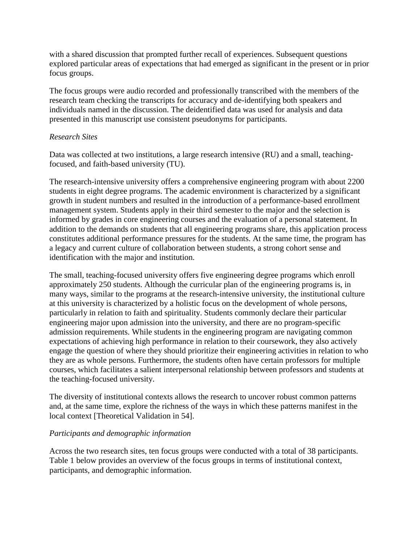with a shared discussion that prompted further recall of experiences. Subsequent questions explored particular areas of expectations that had emerged as significant in the present or in prior focus groups.

The focus groups were audio recorded and professionally transcribed with the members of the research team checking the transcripts for accuracy and de-identifying both speakers and individuals named in the discussion. The deidentified data was used for analysis and data presented in this manuscript use consistent pseudonyms for participants.

# *Research Sites*

Data was collected at two institutions, a large research intensive (RU) and a small, teachingfocused, and faith-based university (TU).

The research-intensive university offers a comprehensive engineering program with about 2200 students in eight degree programs. The academic environment is characterized by a significant growth in student numbers and resulted in the introduction of a performance-based enrollment management system. Students apply in their third semester to the major and the selection is informed by grades in core engineering courses and the evaluation of a personal statement. In addition to the demands on students that all engineering programs share, this application process constitutes additional performance pressures for the students. At the same time, the program has a legacy and current culture of collaboration between students, a strong cohort sense and identification with the major and institution.

The small, teaching-focused university offers five engineering degree programs which enroll approximately 250 students. Although the curricular plan of the engineering programs is, in many ways, similar to the programs at the research-intensive university, the institutional culture at this university is characterized by a holistic focus on the development of whole persons, particularly in relation to faith and spirituality. Students commonly declare their particular engineering major upon admission into the university, and there are no program-specific admission requirements. While students in the engineering program are navigating common expectations of achieving high performance in relation to their coursework, they also actively engage the question of where they should prioritize their engineering activities in relation to who they are as whole persons. Furthermore, the students often have certain professors for multiple courses, which facilitates a salient interpersonal relationship between professors and students at the teaching-focused university.

The diversity of institutional contexts allows the research to uncover robust common patterns and, at the same time, explore the richness of the ways in which these patterns manifest in the local context [Theoretical Validation in 54].

# *Participants and demographic information*

Across the two research sites, ten focus groups were conducted with a total of 38 participants. Table 1 below provides an overview of the focus groups in terms of institutional context, participants, and demographic information.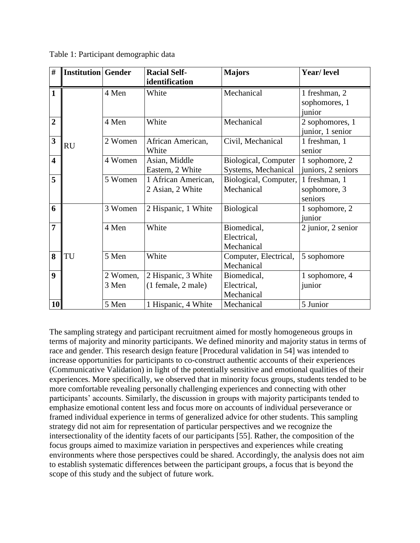| $\#$                    | <b>Institution Gender</b> |          | <b>Racial Self-</b> | <b>Majors</b>         | Year/ level             |
|-------------------------|---------------------------|----------|---------------------|-----------------------|-------------------------|
| $\mathbf{1}$            |                           |          | identification      |                       |                         |
|                         |                           | 4 Men    | White               | Mechanical            | 1 freshman, 2           |
|                         |                           |          |                     |                       | sophomores, 1<br>junior |
| $\overline{2}$          |                           | 4 Men    | White               | Mechanical            | 2 sophomores, 1         |
|                         |                           |          |                     |                       | junior, 1 senior        |
| $\mathbf{3}$            |                           | 2 Women  | African American,   | Civil, Mechanical     | 1 freshman, 1           |
|                         | <b>RU</b>                 |          | White               |                       | senior                  |
| $\overline{\mathbf{4}}$ |                           | 4 Women  | Asian, Middle       | Biological, Computer  | 1 sophomore, 2          |
|                         |                           |          | Eastern, 2 White    | Systems, Mechanical   | juniors, 2 seniors      |
| 5                       |                           | 5 Women  | 1 African American, | Biological, Computer, | 1 freshman, 1           |
|                         |                           |          | 2 Asian, 2 White    | Mechanical            | sophomore, 3            |
|                         |                           |          |                     |                       | seniors                 |
| 6                       |                           | 3 Women  | 2 Hispanic, 1 White | Biological            | 1 sophomore, 2          |
|                         |                           |          |                     |                       | junior                  |
| $\overline{7}$          |                           | 4 Men    | White               | Biomedical,           | 2 junior, 2 senior      |
|                         |                           |          |                     | Electrical,           |                         |
|                         |                           |          |                     | Mechanical            |                         |
| 8                       | TU                        | 5 Men    | White               | Computer, Electrical, | 5 sophomore             |
|                         |                           |          |                     | Mechanical            |                         |
| $\boldsymbol{9}$        |                           | 2 Women, | 2 Hispanic, 3 White | Biomedical,           | 1 sophomore, 4          |
|                         |                           | 3 Men    | (1 female, 2 male)  | Electrical,           | junior                  |
|                         |                           |          |                     | Mechanical            |                         |
| 10                      |                           | 5 Men    | 1 Hispanic, 4 White | Mechanical            | 5 Junior                |

Table 1: Participant demographic data

The sampling strategy and participant recruitment aimed for mostly homogeneous groups in terms of majority and minority participants. We defined minority and majority status in terms of race and gender. This research design feature [Procedural validation in 54] was intended to increase opportunities for participants to co-construct authentic accounts of their experiences (Communicative Validation) in light of the potentially sensitive and emotional qualities of their experiences. More specifically, we observed that in minority focus groups, students tended to be more comfortable revealing personally challenging experiences and connecting with other participants' accounts. Similarly, the discussion in groups with majority participants tended to emphasize emotional content less and focus more on accounts of individual perseverance or framed individual experience in terms of generalized advice for other students. This sampling strategy did not aim for representation of particular perspectives and we recognize the intersectionality of the identity facets of our participants [55]. Rather, the composition of the focus groups aimed to maximize variation in perspectives and experiences while creating environments where those perspectives could be shared. Accordingly, the analysis does not aim to establish systematic differences between the participant groups, a focus that is beyond the scope of this study and the subject of future work.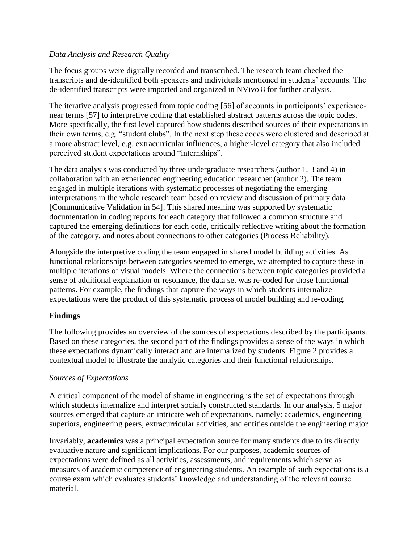# *Data Analysis and Research Quality*

The focus groups were digitally recorded and transcribed. The research team checked the transcripts and de-identified both speakers and individuals mentioned in students' accounts. The de-identified transcripts were imported and organized in NVivo 8 for further analysis.

The iterative analysis progressed from topic coding [56] of accounts in participants' experiencenear terms [57] to interpretive coding that established abstract patterns across the topic codes. More specifically, the first level captured how students described sources of their expectations in their own terms, e.g. "student clubs". In the next step these codes were clustered and described at a more abstract level, e.g. extracurricular influences, a higher-level category that also included perceived student expectations around "internships".

The data analysis was conducted by three undergraduate researchers (author 1, 3 and 4) in collaboration with an experienced engineering education researcher (author 2). The team engaged in multiple iterations with systematic processes of negotiating the emerging interpretations in the whole research team based on review and discussion of primary data [Communicative Validation in 54]. This shared meaning was supported by systematic documentation in coding reports for each category that followed a common structure and captured the emerging definitions for each code, critically reflective writing about the formation of the category, and notes about connections to other categories (Process Reliability).

Alongside the interpretive coding the team engaged in shared model building activities. As functional relationships between categories seemed to emerge, we attempted to capture these in multiple iterations of visual models. Where the connections between topic categories provided a sense of additional explanation or resonance, the data set was re-coded for those functional patterns. For example, the findings that capture the ways in which students internalize expectations were the product of this systematic process of model building and re-coding.

# **Findings**

The following provides an overview of the sources of expectations described by the participants. Based on these categories, the second part of the findings provides a sense of the ways in which these expectations dynamically interact and are internalized by students. Figure 2 provides a contextual model to illustrate the analytic categories and their functional relationships.

# *Sources of Expectations*

A critical component of the model of shame in engineering is the set of expectations through which students internalize and interpret socially constructed standards. In our analysis, 5 major sources emerged that capture an intricate web of expectations, namely: academics, engineering superiors, engineering peers, extracurricular activities, and entities outside the engineering major.

Invariably, **academics** was a principal expectation source for many students due to its directly evaluative nature and significant implications. For our purposes, academic sources of expectations were defined as all activities, assessments, and requirements which serve as measures of academic competence of engineering students. An example of such expectations is a course exam which evaluates students' knowledge and understanding of the relevant course material.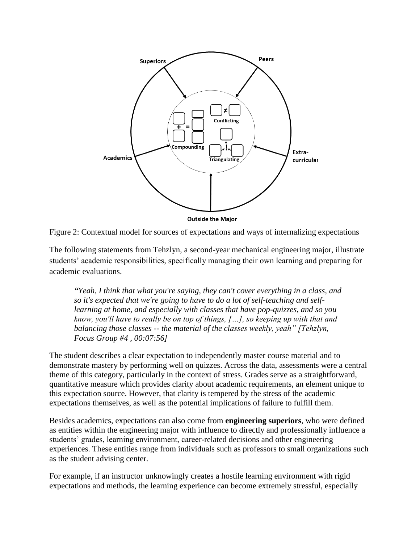

Figure 2: Contextual model for sources of expectations and ways of internalizing expectations

The following statements from Tehzlyn, a second-year mechanical engineering major, illustrate students' academic responsibilities, specifically managing their own learning and preparing for academic evaluations.

*"Yeah, I think that what you're saying, they can't cover everything in a class, and so it's expected that we're going to have to do a lot of self-teaching and selflearning at home, and especially with classes that have pop-quizzes, and so you know, you'll have to really be on top of things, […], so keeping up with that and balancing those classes -- the material of the classes weekly, yeah" [Tehzlyn, Focus Group #4 , 00:07:56]*

The student describes a clear expectation to independently master course material and to demonstrate mastery by performing well on quizzes. Across the data, assessments were a central theme of this category, particularly in the context of stress. Grades serve as a straightforward, quantitative measure which provides clarity about academic requirements, an element unique to this expectation source. However, that clarity is tempered by the stress of the academic expectations themselves, as well as the potential implications of failure to fulfill them.

Besides academics, expectations can also come from **engineering superiors**, who were defined as entities within the engineering major with influence to directly and professionally influence a students' grades, learning environment, career-related decisions and other engineering experiences. These entities range from individuals such as professors to small organizations such as the student advising center.

For example, if an instructor unknowingly creates a hostile learning environment with rigid expectations and methods, the learning experience can become extremely stressful, especially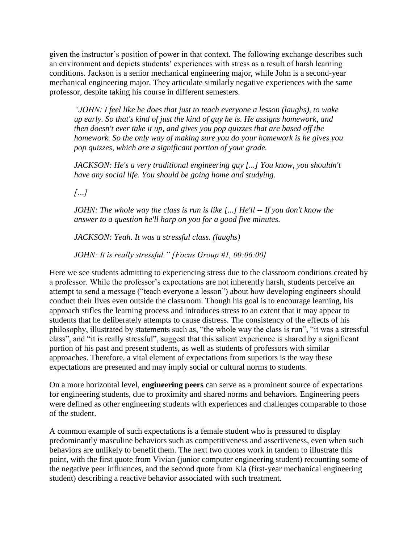given the instructor's position of power in that context. The following exchange describes such an environment and depicts students' experiences with stress as a result of harsh learning conditions. Jackson is a senior mechanical engineering major, while John is a second-year mechanical engineering major. They articulate similarly negative experiences with the same professor, despite taking his course in different semesters.

*"JOHN: I feel like he does that just to teach everyone a lesson (laughs), to wake up early. So that's kind of just the kind of guy he is. He assigns homework, and then doesn't ever take it up, and gives you pop quizzes that are based off the homework. So the only way of making sure you do your homework is he gives you pop quizzes, which are a significant portion of your grade.*

*JACKSON: He's a very traditional engineering guy [...] You know, you shouldn't have any social life. You should be going home and studying.*

*[…]*

*JOHN: The whole way the class is run is like [...] He'll -- If you don't know the answer to a question he'll harp on you for a good five minutes.*

*JACKSON: Yeah. It was a stressful class. (laughs)*

*JOHN: It is really stressful." [Focus Group #1, 00:06:00]*

Here we see students admitting to experiencing stress due to the classroom conditions created by a professor. While the professor's expectations are not inherently harsh, students perceive an attempt to send a message ("teach everyone a lesson") about how developing engineers should conduct their lives even outside the classroom. Though his goal is to encourage learning, his approach stifles the learning process and introduces stress to an extent that it may appear to students that he deliberately attempts to cause distress. The consistency of the effects of his philosophy, illustrated by statements such as, "the whole way the class is run", "it was a stressful class", and "it is really stressful", suggest that this salient experience is shared by a significant portion of his past and present students, as well as students of professors with similar approaches. Therefore, a vital element of expectations from superiors is the way these expectations are presented and may imply social or cultural norms to students.

On a more horizontal level, **engineering peers** can serve as a prominent source of expectations for engineering students, due to proximity and shared norms and behaviors. Engineering peers were defined as other engineering students with experiences and challenges comparable to those of the student.

A common example of such expectations is a female student who is pressured to display predominantly masculine behaviors such as competitiveness and assertiveness, even when such behaviors are unlikely to benefit them. The next two quotes work in tandem to illustrate this point, with the first quote from Vivian (junior computer engineering student) recounting some of the negative peer influences, and the second quote from Kia (first-year mechanical engineering student) describing a reactive behavior associated with such treatment.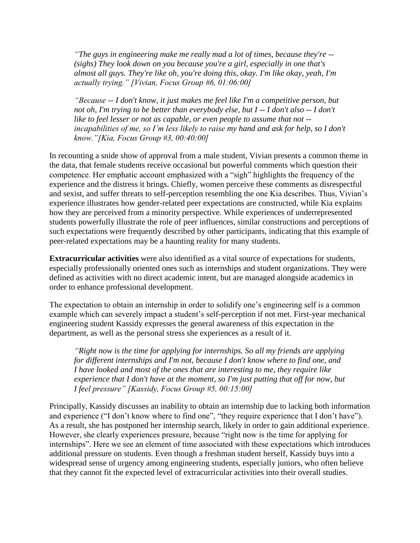*"The guys in engineering make me really mad a lot of times, because they're -- (sighs) They look down on you because you're a girl, especially in one that's almost all guys. They're like oh, you're doing this, okay. I'm like okay, yeah, I'm actually trying." [Vivian, Focus Group #6, 01:06:00]*

*"Because -- I don't know, it just makes me feel like I'm a competitive person, but not oh, I'm trying to be better than everybody else, but I -- I don't also -- I don't like to feel lesser or not as capable, or even people to assume that not - incapabilities of me, so I'm less likely to raise my hand and ask for help, so I don't know."[Kia, Focus Group #3, 00:40:00]*

In recounting a snide show of approval from a male student, Vivian presents a common theme in the data, that female students receive occasional but powerful comments which question their competence. Her emphatic account emphasized with a "sigh" highlights the frequency of the experience and the distress it brings. Chiefly, women perceive these comments as disrespectful and sexist, and suffer threats to self-perception resembling the one Kia describes. Thus, Vivian's experience illustrates how gender-related peer expectations are constructed, while Kia explains how they are perceived from a minority perspective. While experiences of underrepresented students powerfully illustrate the role of peer influences, similar constructions and perceptions of such expectations were frequently described by other participants, indicating that this example of peer-related expectations may be a haunting reality for many students.

**Extracurricular activities** were also identified as a vital source of expectations for students, especially professionally oriented ones such as internships and student organizations. They were defined as activities with no direct academic intent, but are managed alongside academics in order to enhance professional development.

The expectation to obtain an internship in order to solidify one's engineering self is a common example which can severely impact a student's self-perception if not met. First-year mechanical engineering student Kassidy expresses the general awareness of this expectation in the department, as well as the personal stress she experiences as a result of it.

*"Right now is the time for applying for internships. So all my friends are applying for different internships and I'm not, because I don't know where to find one, and I have looked and most of the ones that are interesting to me, they require like experience that I don't have at the moment, so I'm just putting that off for now, but I feel pressure" [Kassidy, Focus Group #5, 00:15:00]*

Principally, Kassidy discusses an inability to obtain an internship due to lacking both information and experience ("I don't know where to find one", "they require experience that I don't have"). As a result, she has postponed her internship search, likely in order to gain additional experience. However, she clearly experiences pressure, because "right now is the time for applying for internships". Here we see an element of time associated with these expectations which introduces additional pressure on students. Even though a freshman student herself, Kassidy buys into a widespread sense of urgency among engineering students, especially juniors, who often believe that they cannot fit the expected level of extracurricular activities into their overall studies.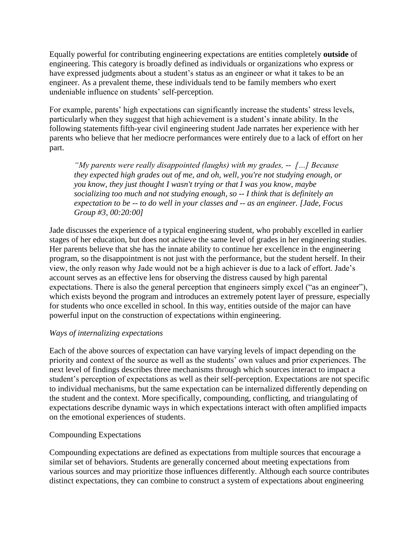Equally powerful for contributing engineering expectations are entities completely **outside** of engineering. This category is broadly defined as individuals or organizations who express or have expressed judgments about a student's status as an engineer or what it takes to be an engineer. As a prevalent theme, these individuals tend to be family members who exert undeniable influence on students' self-perception.

For example, parents' high expectations can significantly increase the students' stress levels, particularly when they suggest that high achievement is a student's innate ability. In the following statements fifth-year civil engineering student Jade narrates her experience with her parents who believe that her mediocre performances were entirely due to a lack of effort on her part.

*"My parents were really disappointed (laughs) with my grades, -- […] Because they expected high grades out of me, and oh, well, you're not studying enough, or you know, they just thought I wasn't trying or that I was you know, maybe socializing too much and not studying enough, so -- I think that is definitely an expectation to be -- to do well in your classes and -- as an engineer. [Jade, Focus Group #3, 00:20:00]*

Jade discusses the experience of a typical engineering student, who probably excelled in earlier stages of her education, but does not achieve the same level of grades in her engineering studies. Her parents believe that she has the innate ability to continue her excellence in the engineering program, so the disappointment is not just with the performance, but the student herself. In their view, the only reason why Jade would not be a high achiever is due to a lack of effort. Jade's account serves as an effective lens for observing the distress caused by high parental expectations. There is also the general perception that engineers simply excel ("as an engineer"), which exists beyond the program and introduces an extremely potent layer of pressure, especially for students who once excelled in school. In this way, entities outside of the major can have powerful input on the construction of expectations within engineering.

# *Ways of internalizing expectations*

Each of the above sources of expectation can have varying levels of impact depending on the priority and context of the source as well as the students' own values and prior experiences. The next level of findings describes three mechanisms through which sources interact to impact a student's perception of expectations as well as their self-perception. Expectations are not specific to individual mechanisms, but the same expectation can be internalized differently depending on the student and the context. More specifically, compounding, conflicting, and triangulating of expectations describe dynamic ways in which expectations interact with often amplified impacts on the emotional experiences of students.

# Compounding Expectations

Compounding expectations are defined as expectations from multiple sources that encourage a similar set of behaviors. Students are generally concerned about meeting expectations from various sources and may prioritize those influences differently. Although each source contributes distinct expectations, they can combine to construct a system of expectations about engineering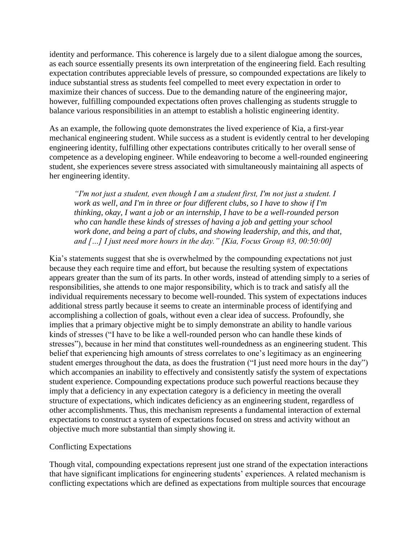identity and performance. This coherence is largely due to a silent dialogue among the sources, as each source essentially presents its own interpretation of the engineering field. Each resulting expectation contributes appreciable levels of pressure, so compounded expectations are likely to induce substantial stress as students feel compelled to meet every expectation in order to maximize their chances of success. Due to the demanding nature of the engineering major, however, fulfilling compounded expectations often proves challenging as students struggle to balance various responsibilities in an attempt to establish a holistic engineering identity.

As an example, the following quote demonstrates the lived experience of Kia, a first-year mechanical engineering student. While success as a student is evidently central to her developing engineering identity, fulfilling other expectations contributes critically to her overall sense of competence as a developing engineer. While endeavoring to become a well-rounded engineering student, she experiences severe stress associated with simultaneously maintaining all aspects of her engineering identity.

*"I'm not just a student, even though I am a student first, I'm not just a student. I work as well, and I'm in three or four different clubs, so I have to show if I'm thinking, okay, I want a job or an internship, I have to be a well-rounded person who can handle these kinds of stresses of having a job and getting your school work done, and being a part of clubs, and showing leadership, and this, and that, and […] I just need more hours in the day." [Kia, Focus Group #3, 00:50:00]*

Kia's statements suggest that she is overwhelmed by the compounding expectations not just because they each require time and effort, but because the resulting system of expectations appears greater than the sum of its parts. In other words, instead of attending simply to a series of responsibilities, she attends to one major responsibility, which is to track and satisfy all the individual requirements necessary to become well-rounded. This system of expectations induces additional stress partly because it seems to create an interminable process of identifying and accomplishing a collection of goals, without even a clear idea of success. Profoundly, she implies that a primary objective might be to simply demonstrate an ability to handle various kinds of stresses ("I have to be like a well-rounded person who can handle these kinds of stresses"), because in her mind that constitutes well-roundedness as an engineering student. This belief that experiencing high amounts of stress correlates to one's legitimacy as an engineering student emerges throughout the data, as does the frustration ("I just need more hours in the day") which accompanies an inability to effectively and consistently satisfy the system of expectations student experience. Compounding expectations produce such powerful reactions because they imply that a deficiency in any expectation category is a deficiency in meeting the overall structure of expectations, which indicates deficiency as an engineering student, regardless of other accomplishments. Thus, this mechanism represents a fundamental interaction of external expectations to construct a system of expectations focused on stress and activity without an objective much more substantial than simply showing it.

#### Conflicting Expectations

Though vital, compounding expectations represent just one strand of the expectation interactions that have significant implications for engineering students' experiences. A related mechanism is conflicting expectations which are defined as expectations from multiple sources that encourage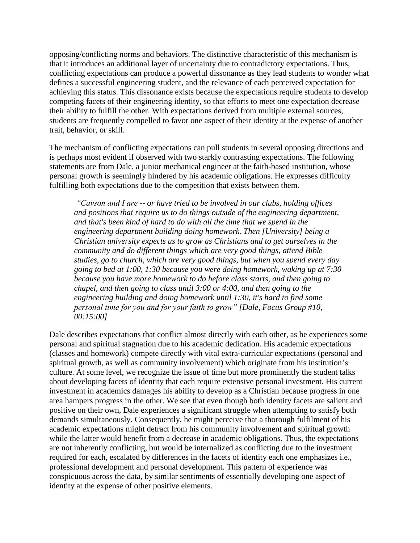opposing/conflicting norms and behaviors. The distinctive characteristic of this mechanism is that it introduces an additional layer of uncertainty due to contradictory expectations. Thus, conflicting expectations can produce a powerful dissonance as they lead students to wonder what defines a successful engineering student, and the relevance of each perceived expectation for achieving this status. This dissonance exists because the expectations require students to develop competing facets of their engineering identity, so that efforts to meet one expectation decrease their ability to fulfill the other. With expectations derived from multiple external sources, students are frequently compelled to favor one aspect of their identity at the expense of another trait, behavior, or skill.

The mechanism of conflicting expectations can pull students in several opposing directions and is perhaps most evident if observed with two starkly contrasting expectations. The following statements are from Dale, a junior mechanical engineer at the faith-based institution, whose personal growth is seemingly hindered by his academic obligations. He expresses difficulty fulfilling both expectations due to the competition that exists between them.

*"Cayson and I are -- or have tried to be involved in our clubs, holding offices and positions that require us to do things outside of the engineering department, and that's been kind of hard to do with all the time that we spend in the engineering department building doing homework. Then [University] being a Christian university expects us to grow as Christians and to get ourselves in the community and do different things which are very good things, attend Bible studies, go to church, which are very good things, but when you spend every day going to bed at 1:00, 1:30 because you were doing homework, waking up at 7:30 because you have more homework to do before class starts, and then going to chapel, and then going to class until 3:00 or 4:00, and then going to the engineering building and doing homework until 1:30, it's hard to find some personal time for you and for your faith to grow" [Dale, Focus Group #10, 00:15:00]*

Dale describes expectations that conflict almost directly with each other, as he experiences some personal and spiritual stagnation due to his academic dedication. His academic expectations (classes and homework) compete directly with vital extra-curricular expectations (personal and spiritual growth, as well as community involvement) which originate from his institution's culture. At some level, we recognize the issue of time but more prominently the student talks about developing facets of identity that each require extensive personal investment. His current investment in academics damages his ability to develop as a Christian because progress in one area hampers progress in the other. We see that even though both identity facets are salient and positive on their own, Dale experiences a significant struggle when attempting to satisfy both demands simultaneously. Consequently, he might perceive that a thorough fulfilment of his academic expectations might detract from his community involvement and spiritual growth while the latter would benefit from a decrease in academic obligations. Thus, the expectations are not inherently conflicting, but would be internalized as conflicting due to the investment required for each, escalated by differences in the facets of identity each one emphasizes i.e., professional development and personal development. This pattern of experience was conspicuous across the data, by similar sentiments of essentially developing one aspect of identity at the expense of other positive elements.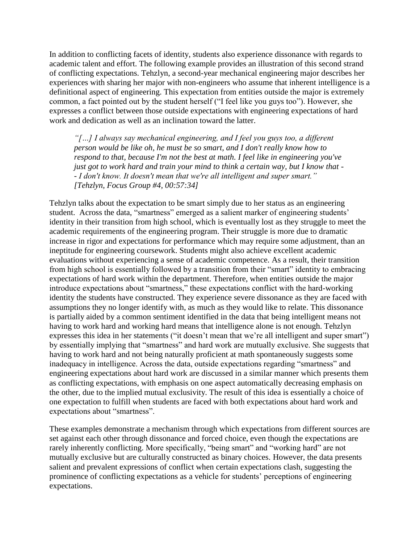In addition to conflicting facets of identity, students also experience dissonance with regards to academic talent and effort. The following example provides an illustration of this second strand of conflicting expectations. Tehzlyn, a second-year mechanical engineering major describes her experiences with sharing her major with non-engineers who assume that inherent intelligence is a definitional aspect of engineering. This expectation from entities outside the major is extremely common, a fact pointed out by the student herself ("I feel like you guys too"). However, she expresses a conflict between those outside expectations with engineering expectations of hard work and dedication as well as an inclination toward the latter.

*"[…] I always say mechanical engineering, and I feel you guys too, a different person would be like oh, he must be so smart, and I don't really know how to respond to that, because I'm not the best at math. I feel like in engineering you've just got to work hard and train your mind to think a certain way, but I know that - - I don't know. It doesn't mean that we're all intelligent and super smart." [Tehzlyn, Focus Group #4, 00:57:34]*

Tehzlyn talks about the expectation to be smart simply due to her status as an engineering student. Across the data, "smartness" emerged as a salient marker of engineering students' identity in their transition from high school, which is eventually lost as they struggle to meet the academic requirements of the engineering program. Their struggle is more due to dramatic increase in rigor and expectations for performance which may require some adjustment, than an ineptitude for engineering coursework. Students might also achieve excellent academic evaluations without experiencing a sense of academic competence. As a result, their transition from high school is essentially followed by a transition from their "smart" identity to embracing expectations of hard work within the department. Therefore, when entities outside the major introduce expectations about "smartness," these expectations conflict with the hard-working identity the students have constructed. They experience severe dissonance as they are faced with assumptions they no longer identify with, as much as they would like to relate. This dissonance is partially aided by a common sentiment identified in the data that being intelligent means not having to work hard and working hard means that intelligence alone is not enough. Tehzlyn expresses this idea in her statements ("it doesn't mean that we're all intelligent and super smart") by essentially implying that "smartness" and hard work are mutually exclusive. She suggests that having to work hard and not being naturally proficient at math spontaneously suggests some inadequacy in intelligence. Across the data, outside expectations regarding "smartness" and engineering expectations about hard work are discussed in a similar manner which presents them as conflicting expectations, with emphasis on one aspect automatically decreasing emphasis on the other, due to the implied mutual exclusivity. The result of this idea is essentially a choice of one expectation to fulfill when students are faced with both expectations about hard work and expectations about "smartness".

These examples demonstrate a mechanism through which expectations from different sources are set against each other through dissonance and forced choice, even though the expectations are rarely inherently conflicting. More specifically, "being smart" and "working hard" are not mutually exclusive but are culturally constructed as binary choices. However, the data presents salient and prevalent expressions of conflict when certain expectations clash, suggesting the prominence of conflicting expectations as a vehicle for students' perceptions of engineering expectations.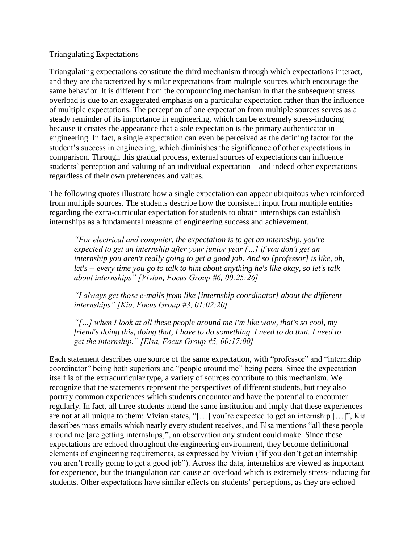# Triangulating Expectations

Triangulating expectations constitute the third mechanism through which expectations interact, and they are characterized by similar expectations from multiple sources which encourage the same behavior. It is different from the compounding mechanism in that the subsequent stress overload is due to an exaggerated emphasis on a particular expectation rather than the influence of multiple expectations. The perception of one expectation from multiple sources serves as a steady reminder of its importance in engineering, which can be extremely stress-inducing because it creates the appearance that a sole expectation is the primary authenticator in engineering. In fact, a single expectation can even be perceived as the defining factor for the student's success in engineering, which diminishes the significance of other expectations in comparison. Through this gradual process, external sources of expectations can influence students' perception and valuing of an individual expectation—and indeed other expectations regardless of their own preferences and values.

The following quotes illustrate how a single expectation can appear ubiquitous when reinforced from multiple sources. The students describe how the consistent input from multiple entities regarding the extra-curricular expectation for students to obtain internships can establish internships as a fundamental measure of engineering success and achievement.

*"For electrical and computer, the expectation is to get an internship, you're expected to get an internship after your junior year […] if you don't get an internship you aren't really going to get a good job. And so [professor] is like, oh, let's -- every time you go to talk to him about anything he's like okay, so let's talk about internships" [Vivian, Focus Group #6, 00:25:26]*

*"I always get those e-mails from like [internship coordinator] about the different internships" [Kia, Focus Group #3, 01:02:20]*

*"[…] when I look at all these people around me I'm like wow, that's so cool, my friend's doing this, doing that, I have to do something. I need to do that. I need to get the internship." [Elsa, Focus Group #5, 00:17:00]*

Each statement describes one source of the same expectation, with "professor" and "internship coordinator" being both superiors and "people around me" being peers. Since the expectation itself is of the extracurricular type, a variety of sources contribute to this mechanism. We recognize that the statements represent the perspectives of different students, but they also portray common experiences which students encounter and have the potential to encounter regularly. In fact, all three students attend the same institution and imply that these experiences are not at all unique to them: Vivian states, "[…] you're expected to get an internship […]", Kia describes mass emails which nearly every student receives, and Elsa mentions "all these people around me [are getting internships]", an observation any student could make. Since these expectations are echoed throughout the engineering environment, they become definitional elements of engineering requirements, as expressed by Vivian ("if you don't get an internship you aren't really going to get a good job"). Across the data, internships are viewed as important for experience, but the triangulation can cause an overload which is extremely stress-inducing for students. Other expectations have similar effects on students' perceptions, as they are echoed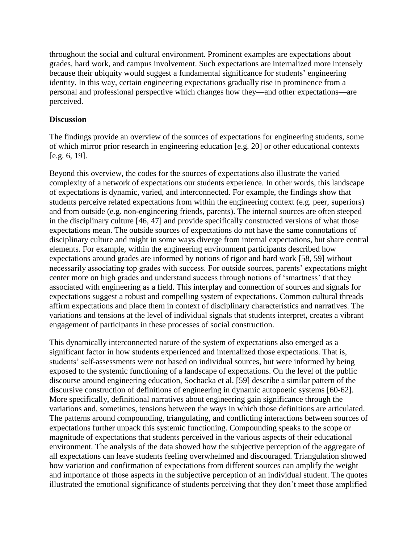throughout the social and cultural environment. Prominent examples are expectations about grades, hard work, and campus involvement. Such expectations are internalized more intensely because their ubiquity would suggest a fundamental significance for students' engineering identity. In this way, certain engineering expectations gradually rise in prominence from a personal and professional perspective which changes how they—and other expectations—are perceived.

# **Discussion**

The findings provide an overview of the sources of expectations for engineering students, some of which mirror prior research in engineering education [e.g. 20] or other educational contexts [e.g. 6, 19].

Beyond this overview, the codes for the sources of expectations also illustrate the varied complexity of a network of expectations our students experience. In other words, this landscape of expectations is dynamic, varied, and interconnected. For example, the findings show that students perceive related expectations from within the engineering context (e.g. peer, superiors) and from outside (e.g. non-engineering friends, parents). The internal sources are often steeped in the disciplinary culture [46, 47] and provide specifically constructed versions of what those expectations mean. The outside sources of expectations do not have the same connotations of disciplinary culture and might in some ways diverge from internal expectations, but share central elements. For example, within the engineering environment participants described how expectations around grades are informed by notions of rigor and hard work [58, 59] without necessarily associating top grades with success. For outside sources, parents' expectations might center more on high grades and understand success through notions of 'smartness' that they associated with engineering as a field. This interplay and connection of sources and signals for expectations suggest a robust and compelling system of expectations. Common cultural threads affirm expectations and place them in context of disciplinary characteristics and narratives. The variations and tensions at the level of individual signals that students interpret, creates a vibrant engagement of participants in these processes of social construction.

This dynamically interconnected nature of the system of expectations also emerged as a significant factor in how students experienced and internalized those expectations. That is, students' self-assessments were not based on individual sources, but were informed by being exposed to the systemic functioning of a landscape of expectations. On the level of the public discourse around engineering education, Sochacka et al. [59] describe a similar pattern of the discursive construction of definitions of engineering in dynamic autopoetic systems [60-62]. More specifically, definitional narratives about engineering gain significance through the variations and, sometimes, tensions between the ways in which those definitions are articulated. The patterns around compounding, triangulating, and conflicting interactions between sources of expectations further unpack this systemic functioning. Compounding speaks to the scope or magnitude of expectations that students perceived in the various aspects of their educational environment. The analysis of the data showed how the subjective perception of the aggregate of all expectations can leave students feeling overwhelmed and discouraged. Triangulation showed how variation and confirmation of expectations from different sources can amplify the weight and importance of those aspects in the subjective perception of an individual student. The quotes illustrated the emotional significance of students perceiving that they don't meet those amplified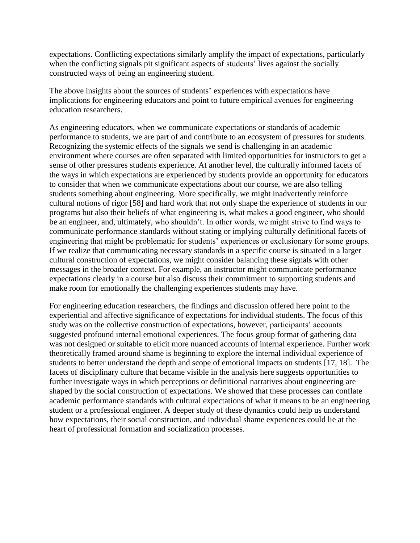expectations. Conflicting expectations similarly amplify the impact of expectations, particularly when the conflicting signals pit significant aspects of students' lives against the socially constructed ways of being an engineering student.

The above insights about the sources of students' experiences with expectations have implications for engineering educators and point to future empirical avenues for engineering education researchers.

As engineering educators, when we communicate expectations or standards of academic performance to students, we are part of and contribute to an ecosystem of pressures for students. Recognizing the systemic effects of the signals we send is challenging in an academic environment where courses are often separated with limited opportunities for instructors to get a sense of other pressures students experience. At another level, the culturally informed facets of the ways in which expectations are experienced by students provide an opportunity for educators to consider that when we communicate expectations about our course, we are also telling students something about engineering. More specifically, we might inadvertently reinforce cultural notions of rigor [58] and hard work that not only shape the experience of students in our programs but also their beliefs of what engineering is, what makes a good engineer, who should be an engineer, and, ultimately, who shouldn't. In other words, we might strive to find ways to communicate performance standards without stating or implying culturally definitional facets of engineering that might be problematic for students' experiences or exclusionary for some groups. If we realize that communicating necessary standards in a specific course is situated in a larger cultural construction of expectations, we might consider balancing these signals with other messages in the broader context. For example, an instructor might communicate performance expectations clearly in a course but also discuss their commitment to supporting students and make room for emotionally the challenging experiences students may have.

For engineering education researchers, the findings and discussion offered here point to the experiential and affective significance of expectations for individual students. The focus of this study was on the collective construction of expectations, however, participants' accounts suggested profound internal emotional experiences. The focus group format of gathering data was not designed or suitable to elicit more nuanced accounts of internal experience. Further work theoretically framed around shame is beginning to explore the internal individual experience of students to better understand the depth and scope of emotional impacts on students [17, 18]. The facets of disciplinary culture that became visible in the analysis here suggests opportunities to further investigate ways in which perceptions or definitional narratives about engineering are shaped by the social construction of expectations. We showed that these processes can conflate academic performance standards with cultural expectations of what it means to be an engineering student or a professional engineer. A deeper study of these dynamics could help us understand how expectations, their social construction, and individual shame experiences could lie at the heart of professional formation and socialization processes.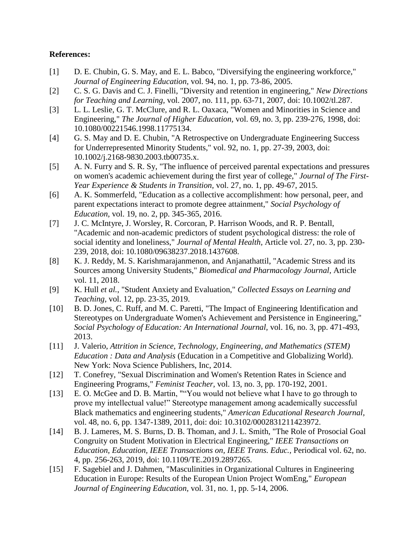## **References:**

- [1] D. E. Chubin, G. S. May, and E. L. Babco, "Diversifying the engineering workforce," *Journal of Engineering Education,* vol. 94, no. 1, pp. 73-86, 2005.
- [2] C. S. G. Davis and C. J. Finelli, "Diversity and retention in engineering," *New Directions for Teaching and Learning,* vol. 2007, no. 111, pp. 63-71, 2007, doi: 10.1002/tl.287.
- [3] L. L. Leslie, G. T. McClure, and R. L. Oaxaca, "Women and Minorities in Science and Engineering," *The Journal of Higher Education,* vol. 69, no. 3, pp. 239-276, 1998, doi: 10.1080/00221546.1998.11775134.
- [4] G. S. May and D. E. Chubin, "A Retrospective on Undergraduate Engineering Success for Underrepresented Minority Students," vol. 92, no. 1, pp. 27-39, 2003, doi: 10.1002/j.2168-9830.2003.tb00735.x.
- [5] A. N. Furry and S. R. Sy, "The influence of perceived parental expectations and pressures on women's academic achievement during the first year of college," *Journal of The First-Year Experience & Students in Transition,* vol. 27, no. 1, pp. 49-67, 2015.
- [6] A. K. Sommerfeld, "Education as a collective accomplishment: how personal, peer, and parent expectations interact to promote degree attainment," *Social Psychology of Education,* vol. 19, no. 2, pp. 345-365, 2016.
- [7] J. C. McIntyre, J. Worsley, R. Corcoran, P. Harrison Woods, and R. P. Bentall, "Academic and non-academic predictors of student psychological distress: the role of social identity and loneliness," *Journal of Mental Health,* Article vol. 27, no. 3, pp. 230- 239, 2018, doi: 10.1080/09638237.2018.1437608.
- [8] K. J. Reddy, M. S. Karishmarajanmenon, and Anjanathattil, "Academic Stress and its Sources among University Students," *Biomedical and Pharmacology Journal,* Article vol. 11, 2018.
- [9] K. Hull *et al.*, "Student Anxiety and Evaluation," *Collected Essays on Learning and Teaching,* vol. 12, pp. 23-35, 2019.
- [10] B. D. Jones, C. Ruff, and M. C. Paretti, "The Impact of Engineering Identification and Stereotypes on Undergraduate Women's Achievement and Persistence in Engineering," *Social Psychology of Education: An International Journal,* vol. 16, no. 3, pp. 471-493, 2013.
- [11] J. Valerio, *Attrition in Science, Technology, Engineering, and Mathematics (STEM) Education : Data and Analysis* (Education in a Competitive and Globalizing World). New York: Nova Science Publishers, Inc, 2014.
- [12] T. Conefrey, "Sexual Discrimination and Women's Retention Rates in Science and Engineering Programs," *Feminist Teacher,* vol. 13, no. 3, pp. 170-192, 2001.
- [13] E. O. McGee and D. B. Martin, ""You would not believe what I have to go through to prove my intellectual value!" Stereotype management among academically successful Black mathematics and engineering students," *American Educational Research Journal,*  vol. 48, no. 6, pp. 1347-1389, 2011, doi: doi: 10.3102/0002831211423972.
- [14] B. J. Lameres, M. S. Burns, D. B. Thoman, and J. L. Smith, "The Role of Prosocial Goal Congruity on Student Motivation in Electrical Engineering," *IEEE Transactions on Education, Education, IEEE Transactions on, IEEE Trans. Educ.,* Periodical vol. 62, no. 4, pp. 256-263, 2019, doi: 10.1109/TE.2019.2897265.
- [15] F. Sagebiel and J. Dahmen, "Masculinities in Organizational Cultures in Engineering Education in Europe: Results of the European Union Project WomEng," *European Journal of Engineering Education,* vol. 31, no. 1, pp. 5-14, 2006.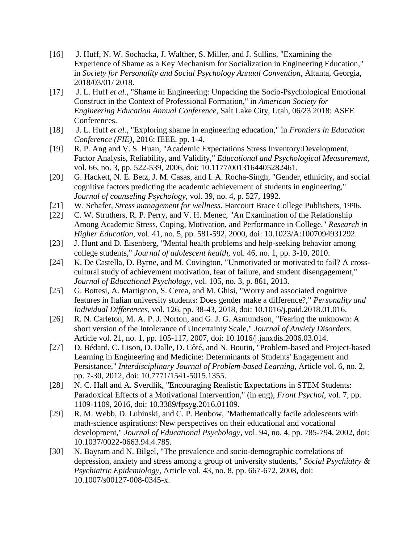- [16] J. Huff, N. W. Sochacka, J. Walther, S. Miller, and J. Sullins, "Examining the Experience of Shame as a Key Mechanism for Socialization in Engineering Education," in *Society for Personality and Social Psychology Annual Convention*, Altanta, Georgia, 2018/03/01/ 2018.
- [17] J. L. Huff *et al.*, "Shame in Engineering: Unpacking the Socio-Psychological Emotional Construct in the Context of Professional Formation," in *American Society for Engineering Education Annual Conference*, Salt Lake City, Utah, 06/23 2018: ASEE Conferences.
- [18] J. L. Huff *et al.*, "Exploring shame in engineering education," in *Frontiers in Education Conference (FIE)*, 2016: IEEE, pp. 1-4.
- [19] R. P. Ang and V. S. Huan, "Academic Expectations Stress Inventory:Development, Factor Analysis, Reliability, and Validity," *Educational and Psychological Measurement,*  vol. 66, no. 3, pp. 522-539, 2006, doi: 10.1177/0013164405282461.
- [20] G. Hackett, N. E. Betz, J. M. Casas, and I. A. Rocha-Singh, "Gender, ethnicity, and social cognitive factors predicting the academic achievement of students in engineering," *Journal of counseling Psychology,* vol. 39, no. 4, p. 527, 1992.
- [21] W. Schafer, *Stress management for wellness*. Harcourt Brace College Publishers, 1996.
- [22] C. W. Struthers, R. P. Perry, and V. H. Menec, "An Examination of the Relationship Among Academic Stress, Coping, Motivation, and Performance in College," *Research in Higher Education,* vol. 41, no. 5, pp. 581-592, 2000, doi: 10.1023/A:1007094931292.
- [23] J. Hunt and D. Eisenberg, "Mental health problems and help-seeking behavior among college students," *Journal of adolescent health,* vol. 46, no. 1, pp. 3-10, 2010.
- [24] K. De Castella, D. Byrne, and M. Covington, "Unmotivated or motivated to fail? A crosscultural study of achievement motivation, fear of failure, and student disengagement," *Journal of Educational Psychology,* vol. 105, no. 3, p. 861, 2013.
- [25] G. Bottesi, A. Martignon, S. Cerea, and M. Ghisi, "Worry and associated cognitive features in Italian university students: Does gender make a difference?," *Personality and Individual Differences,* vol. 126, pp. 38-43, 2018, doi: 10.1016/j.paid.2018.01.016.
- [26] R. N. Carleton, M. A. P. J. Norton, and G. J. G. Asmundson, "Fearing the unknown: A short version of the Intolerance of Uncertainty Scale," *Journal of Anxiety Disorders,*  Article vol. 21, no. 1, pp. 105-117, 2007, doi: 10.1016/j.janxdis.2006.03.014.
- [27] D. Bédard, C. Lison, D. Dalle, D. Côté, and N. Boutin, "Problem-based and Project-based Learning in Engineering and Medicine: Determinants of Students' Engagement and Persistance," *Interdisciplinary Journal of Problem-based Learning,* Article vol. 6, no. 2, pp. 7-30, 2012, doi: 10.7771/1541-5015.1355.
- [28] N. C. Hall and A. Sverdlik, "Encouraging Realistic Expectations in STEM Students: Paradoxical Effects of a Motivational Intervention," (in eng), *Front Psychol,* vol. 7, pp. 1109-1109, 2016, doi: 10.3389/fpsyg.2016.01109.
- [29] R. M. Webb, D. Lubinski, and C. P. Benbow, "Mathematically facile adolescents with math-science aspirations: New perspectives on their educational and vocational development," *Journal of Educational Psychology,* vol. 94, no. 4, pp. 785-794, 2002, doi: 10.1037/0022-0663.94.4.785.
- [30] N. Bayram and N. Bilgel, "The prevalence and socio-demographic correlations of depression, anxiety and stress among a group of university students," *Social Psychiatry & Psychiatric Epidemiology,* Article vol. 43, no. 8, pp. 667-672, 2008, doi: 10.1007/s00127-008-0345-x.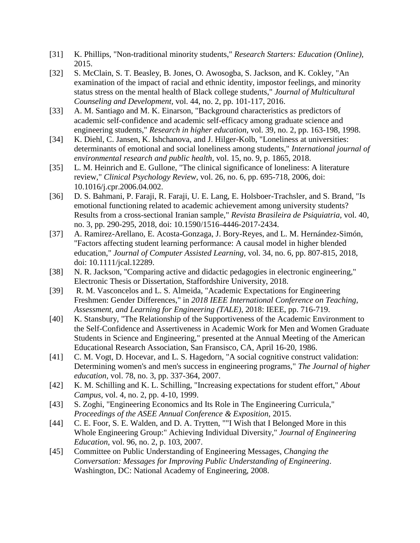- [31] K. Phillips, "Non-traditional minority students," *Research Starters: Education (Online),*  2015.
- [32] S. McClain, S. T. Beasley, B. Jones, O. Awosogba, S. Jackson, and K. Cokley, "An examination of the impact of racial and ethnic identity, impostor feelings, and minority status stress on the mental health of Black college students," *Journal of Multicultural Counseling and Development,* vol. 44, no. 2, pp. 101-117, 2016.
- [33] A. M. Santiago and M. K. Einarson, "Background characteristics as predictors of academic self-confidence and academic self-efficacy among graduate science and engineering students," *Research in higher education,* vol. 39, no. 2, pp. 163-198, 1998.
- [34] K. Diehl, C. Jansen, K. Ishchanova, and J. Hilger-Kolb, "Loneliness at universities: determinants of emotional and social loneliness among students," *International journal of environmental research and public health,* vol. 15, no. 9, p. 1865, 2018.
- [35] L. M. Heinrich and E. Gullone, "The clinical significance of loneliness: A literature review," *Clinical Psychology Review,* vol. 26, no. 6, pp. 695-718, 2006, doi: 10.1016/j.cpr.2006.04.002.
- [36] D. S. Bahmani, P. Faraji, R. Faraji, U. E. Lang, E. Holsboer-Trachsler, and S. Brand, "Is emotional functioning related to academic achievement among university students? Results from a cross-sectional Iranian sample," *Revista Brasileira de Psiquiatria,* vol. 40, no. 3, pp. 290-295, 2018, doi: 10.1590/1516-4446-2017-2434.
- [37] A. Ramirez-Arellano, E. Acosta-Gonzaga, J. Bory-Reyes, and L. M. Hernández-Simón, "Factors affecting student learning performance: A causal model in higher blended education," *Journal of Computer Assisted Learning,* vol. 34, no. 6, pp. 807-815, 2018, doi: 10.1111/jcal.12289.
- [38] N. R. Jackson, "Comparing active and didactic pedagogies in electronic engineering," Electronic Thesis or Dissertation, Staffordshire University, 2018.
- [39] R. M. Vasconcelos and L. S. Almeida, "Academic Expectations for Engineering Freshmen: Gender Differences," in *2018 IEEE International Conference on Teaching, Assessment, and Learning for Engineering (TALE)*, 2018: IEEE, pp. 716-719.
- [40] K. Stansbury, "The Relationship of the Supportiveness of the Academic Environment to the Self-Confidence and Assertiveness in Academic Work for Men and Women Graduate Students in Science and Engineering," presented at the Annual Meeting of the American Educational Research Association, San Fransisco, CA, April 16-20, 1986.
- [41] C. M. Vogt, D. Hocevar, and L. S. Hagedorn, "A social cognitive construct validation: Determining women's and men's success in engineering programs," *The Journal of higher education,* vol. 78, no. 3, pp. 337-364, 2007.
- [42] K. M. Schilling and K. L. Schilling, "Increasing expectations for student effort," *About Campus,* vol. 4, no. 2, pp. 4-10, 1999.
- [43] S. Zoghi, "Engineering Economics and Its Role in The Engineering Curricula," *Proceedings of the ASEE Annual Conference & Exposition,* 2015.
- [44] C. E. Foor, S. E. Walden, and D. A. Trytten, ""I Wish that I Belonged More in this Whole Engineering Group:" Achieving Individual Diversity," *Journal of Engineering Education,* vol. 96, no. 2, p. 103, 2007.
- [45] Committee on Public Understanding of Engineering Messages, *Changing the Conversation: Messages for Improving Public Understanding of Engineering*. Washington, DC: National Academy of Engineering, 2008.